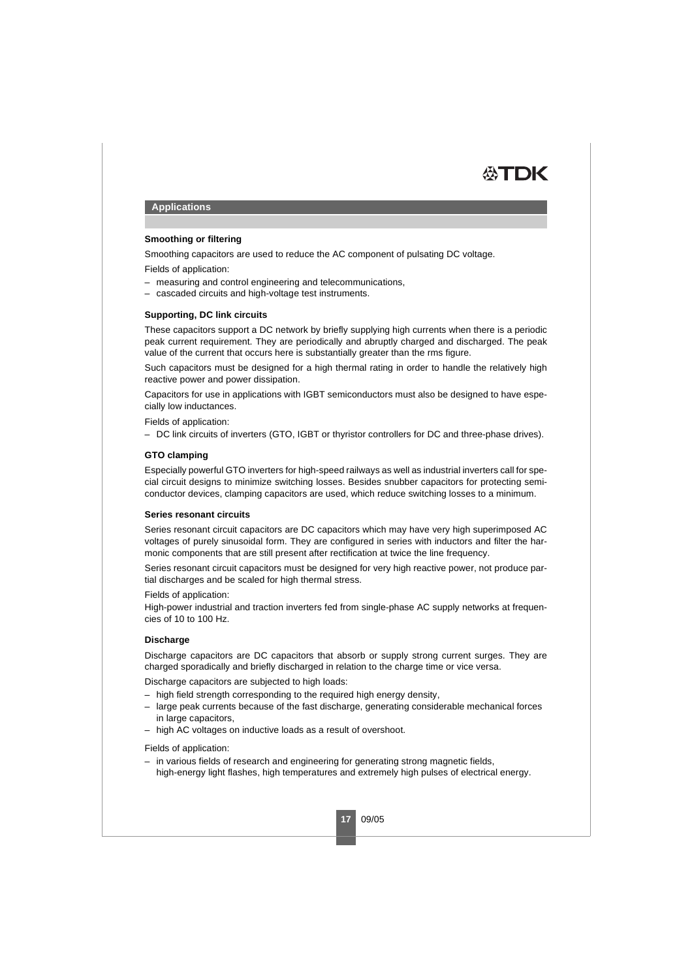

# **Applications**

## **Smoothing or filtering**

Smoothing capacitors are used to reduce the AC component of pulsating DC voltage.

Fields of application:

- measuring and control engineering and telecommunications,
- cascaded circuits and high-voltage test instruments.

## **Supporting, DC link circuits**

These capacitors support a DC network by briefly supplying high currents when there is a periodic peak current requirement. They are periodically and abruptly charged and discharged. The peak value of the current that occurs here is substantially greater than the rms figure.

Such capacitors must be designed for a high thermal rating in order to handle the relatively high reactive power and power dissipation.

Capacitors for use in applications with IGBT semiconductors must also be designed to have especially low inductances.

Fields of application:

– DC link circuits of inverters (GTO, IGBT or thyristor controllers for DC and three-phase drives).

## **GTO clamping**

Especially powerful GTO inverters for high-speed railways as well as industrial inverters call for special circuit designs to minimize switching losses. Besides snubber capacitors for protecting semiconductor devices, clamping capacitors are used, which reduce switching losses to a minimum.

#### **Series resonant circuits**

Series resonant circuit capacitors are DC capacitors which may have very high superimposed AC voltages of purely sinusoidal form. They are configured in series with inductors and filter the harmonic components that are still present after rectification at twice the line frequency.

Series resonant circuit capacitors must be designed for very high reactive power, not produce partial discharges and be scaled for high thermal stress.

Fields of application:

High-power industrial and traction inverters fed from single-phase AC supply networks at frequencies of 10 to 100 Hz.

## **Discharge**

Discharge capacitors are DC capacitors that absorb or supply strong current surges. They are charged sporadically and briefly discharged in relation to the charge time or vice versa.

Discharge capacitors are subjected to high loads:

- high field strength corresponding to the required high energy density,
- large peak currents because of the fast discharge, generating considerable mechanical forces in large capacitors,
- high AC voltages on inductive loads as a result of overshoot.

Fields of application:

– in various fields of research and engineering for generating strong magnetic fields, high-energy light flashes, high temperatures and extremely high pulses of electrical energy.

**17** 09/05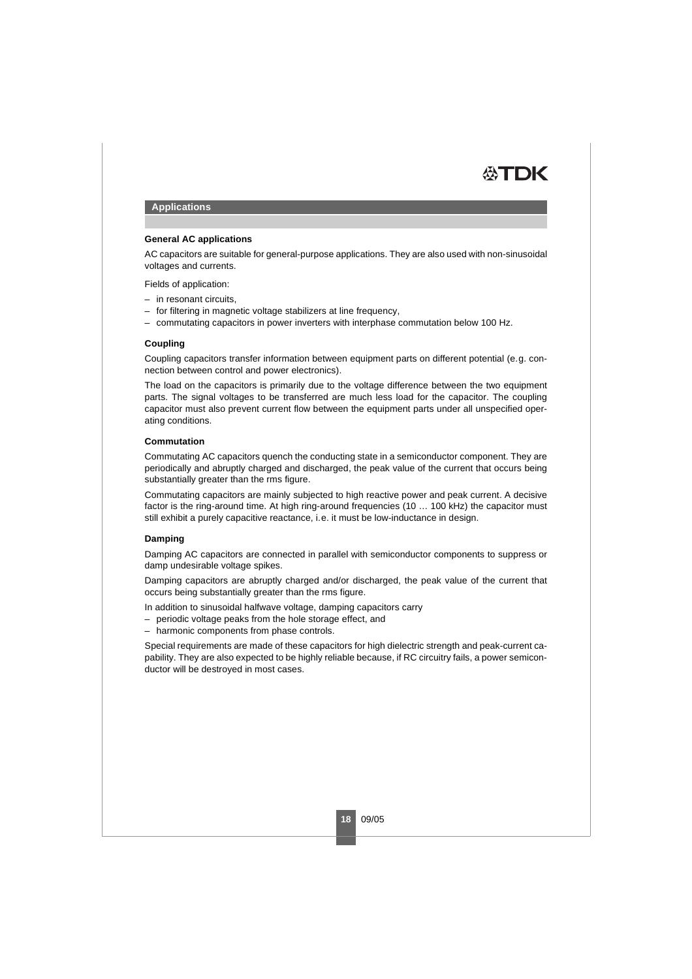

# **Applications**

# **General AC applications**

AC capacitors are suitable for general-purpose applications. They are also used with non-sinusoidal voltages and currents.

Fields of application:

- in resonant circuits,
- for filtering in magnetic voltage stabilizers at line frequency,
- commutating capacitors in power inverters with interphase commutation below 100 Hz.

## **Coupling**

Coupling capacitors transfer information between equipment parts on different potential (e.g. connection between control and power electronics).

The load on the capacitors is primarily due to the voltage difference between the two equipment parts. The signal voltages to be transferred are much less load for the capacitor. The coupling capacitor must also prevent current flow between the equipment parts under all unspecified operating conditions.

# **Commutation**

Commutating AC capacitors quench the conducting state in a semiconductor component. They are periodically and abruptly charged and discharged, the peak value of the current that occurs being substantially greater than the rms figure.

Commutating capacitors are mainly subjected to high reactive power and peak current. A decisive factor is the ring-around time. At high ring-around frequencies (10 … 100 kHz) the capacitor must still exhibit a purely capacitive reactance, i.e. it must be low-inductance in design.

## **Damping**

Damping AC capacitors are connected in parallel with semiconductor components to suppress or damp undesirable voltage spikes.

Damping capacitors are abruptly charged and/or discharged, the peak value of the current that occurs being substantially greater than the rms figure.

In addition to sinusoidal halfwave voltage, damping capacitors carry

- periodic voltage peaks from the hole storage effect, and
- harmonic components from phase controls.

Special requirements are made of these capacitors for high dielectric strength and peak-current capability. They are also expected to be highly reliable because, if RC circuitry fails, a power semiconductor will be destroyed in most cases.